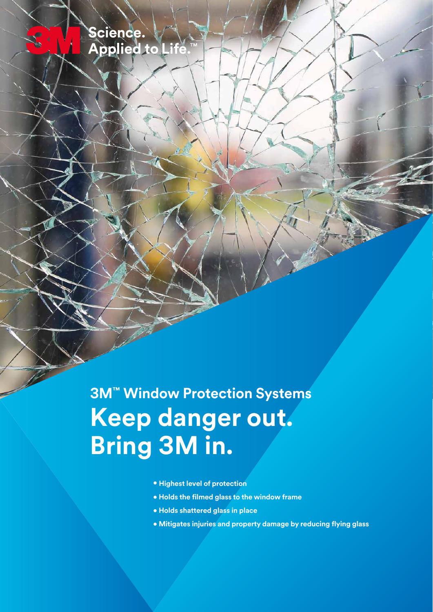Science.<br>Applied to Life

**3M™ Window Protection Systems Keep danger out. Bring 3M in.**

- **Highest level of protection**
- **Holds the filmed glass to the window frame**
- **Holds shattered glass in place**
- **Mitigates injuries and property damage by reducing flying glass**